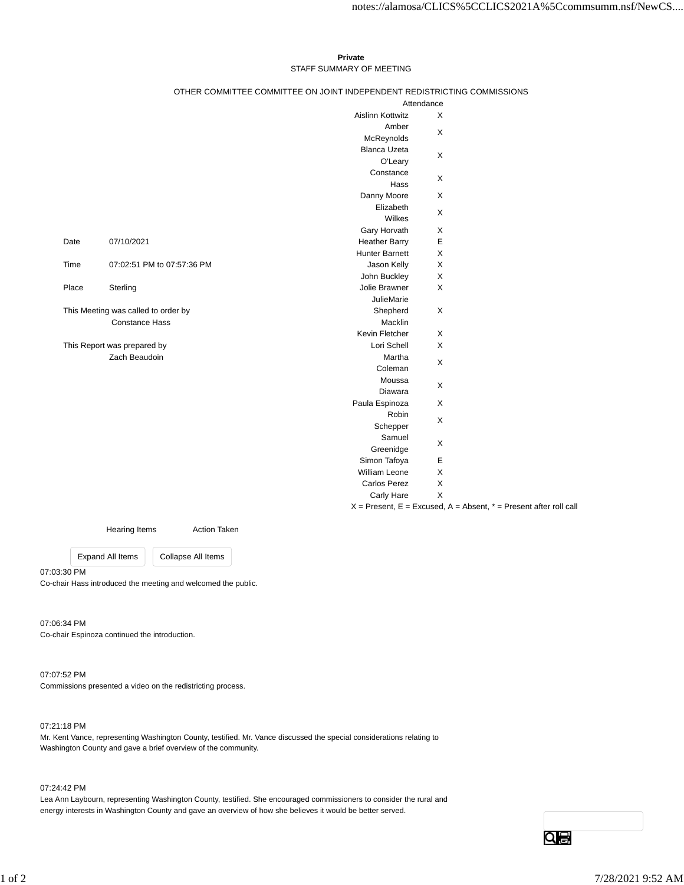## **Private** STAFF SUMMARY OF MEETING

## OTHER COMMITTEE COMMITTEE ON JOINT INDEPENDENT REDISTRICTING COMMISSIONS

|                                                              |                            | Attendance              |        |
|--------------------------------------------------------------|----------------------------|-------------------------|--------|
|                                                              |                            | <b>Aislinn Kottwitz</b> | X      |
|                                                              |                            | Amber                   | X      |
|                                                              |                            | McReynolds              |        |
|                                                              |                            | <b>Blanca Uzeta</b>     | X<br>X |
|                                                              |                            | O'Leary                 |        |
|                                                              |                            | Constance               |        |
|                                                              |                            | Hass                    |        |
|                                                              |                            | Danny Moore             | X      |
|                                                              |                            | Elizabeth               | X      |
|                                                              |                            | Wilkes                  |        |
|                                                              |                            | Gary Horvath            | X      |
| Date                                                         | 07/10/2021                 | <b>Heather Barry</b>    | E      |
|                                                              |                            | <b>Hunter Barnett</b>   | X      |
| Time                                                         | 07:02:51 PM to 07:57:36 PM | Jason Kelly             | X      |
|                                                              |                            | John Buckley            | X      |
| Place                                                        | Sterling                   | Jolie Brawner           | X      |
|                                                              |                            | <b>JulieMarie</b>       |        |
| This Meeting was called to order by<br><b>Constance Hass</b> |                            | Shepherd                | X      |
|                                                              |                            | Macklin                 |        |
|                                                              |                            | Kevin Fletcher          | X      |
| This Report was prepared by                                  |                            | Lori Schell             | X      |
| Zach Beaudoin                                                |                            | Martha                  | X      |
|                                                              |                            | Coleman                 |        |
|                                                              |                            | Moussa                  | X      |
|                                                              |                            | Diawara                 |        |
|                                                              |                            | Paula Espinoza          | X      |
|                                                              |                            | Robin                   | X<br>X |
|                                                              |                            | Schepper                |        |
|                                                              |                            | Samuel                  |        |
|                                                              |                            | Greenidge               |        |
|                                                              |                            | Simon Tafoya            | E      |
|                                                              |                            | <b>William Leone</b>    | X      |
|                                                              |                            | <b>Carlos Perez</b>     | X      |
|                                                              |                            | <b>Carly Hare</b>       | X      |
|                                                              |                            |                         |        |

 $X =$  Present,  $E =$  Excused,  $A =$  Absent,  $* =$  Present after roll call

Hearing Items **Action Taken** 

Expand All Items Collapse All Items

07:03:30 PM Co-chair Hass introduced the meeting and welcomed the public.

07:06:34 PM Co-chair Espinoza continued the introduction.

07:07:52 PM Commissions presented a video on the redistricting process.

07:21:18 PM

Mr. Kent Vance, representing Washington County, testified. Mr. Vance discussed the special considerations relating to Washington County and gave a brief overview of the community.

07:24:42 PM

Lea Ann Laybourn, representing Washington County, testified. She encouraged commissioners to consider the rural and energy interests in Washington County and gave an overview of how she believes it would be better served.